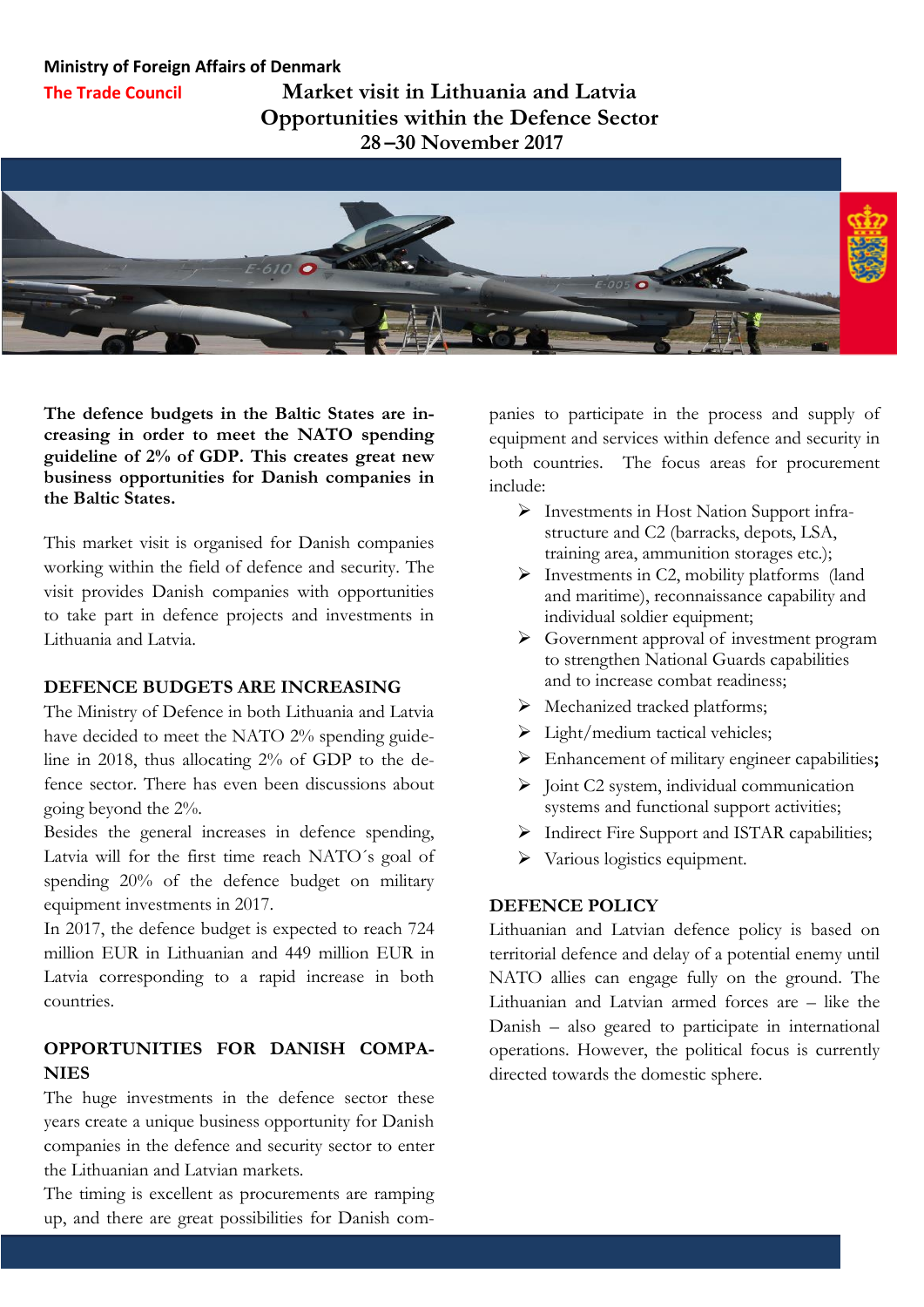#### **Ministry of Foreign Affairs of Denmark**

**The Trade Council**

**Market visit in Lithuania and Latvia Opportunities within the Defence Sector 28 –30 November 2017**



**The defence budgets in the Baltic States are increasing in order to meet the NATO spending guideline of 2% of GDP. This creates great new business opportunities for Danish companies in the Baltic States.**

This market visit is organised for Danish companies working within the field of defence and security. The visit provides Danish companies with opportunities to take part in defence projects and investments in Lithuania and Latvia.

#### **DEFENCE BUDGETS ARE INCREASING**

The Ministry of Defence in both Lithuania and Latvia have decided to meet the NATO 2% spending guideline in 2018, thus allocating 2% of GDP to the defence sector. There has even been discussions about going beyond the 2%.

Besides the general increases in defence spending, Latvia will for the first time reach NATO´s goal of spending 20% of the defence budget on military equipment investments in 2017.

In 2017, the defence budget is expected to reach 724 million EUR in Lithuanian and 449 million EUR in Latvia corresponding to a rapid increase in both countries.

# **OPPORTUNITIES FOR DANISH COMPA-NIES**

The huge investments in the defence sector these years create a unique business opportunity for Danish companies in the defence and security sector to enter the Lithuanian and Latvian markets.

The timing is excellent as procurements are ramping up, and there are great possibilities for Danish companies to participate in the process and supply of equipment and services within defence and security in both countries. The focus areas for procurement include:

- Investments in Host Nation Support infrastructure and C2 (barracks, depots, LSA, training area, ammunition storages etc.);
- $\triangleright$  Investments in C2, mobility platforms (land and maritime), reconnaissance capability and individual soldier equipment;
- Government approval of investment program to strengthen National Guards capabilities and to increase combat readiness;
- $\triangleright$  Mechanized tracked platforms;
- $\triangleright$  Light/medium tactical vehicles;
- Enhancement of military engineer capabilities**;**
- $\triangleright$  Joint C2 system, individual communication systems and functional support activities;
- $\triangleright$  Indirect Fire Support and ISTAR capabilities;
- $\triangleright$  Various logistics equipment.

### **DEFENCE POLICY**

Lithuanian and Latvian defence policy is based on territorial defence and delay of a potential enemy until NATO allies can engage fully on the ground. The Lithuanian and Latvian armed forces are – like the Danish – also geared to participate in international operations. However, the political focus is currently directed towards the domestic sphere.